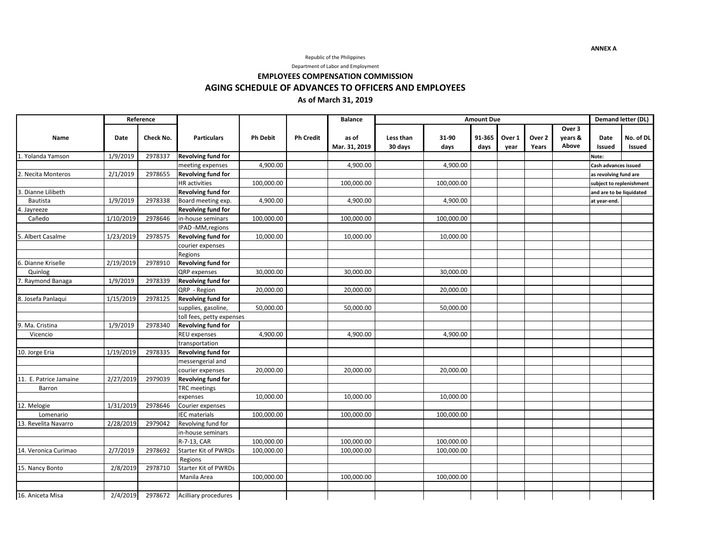Republic of the Philippines

Department of Labor and Employment

**EMPLOYEES COMPENSATION COMMISSION**

**AGING SCHEDULE OF ADVANCES TO OFFICERS AND EMPLOYEES**

## **As of March 31, 2019**

|                        |           | Reference | <b>Particulars</b>           | <b>Ph Debit</b> | <b>Ph Credit</b> | <b>Balance</b><br>as of<br>Mar. 31, 2019 | <b>Amount Due</b>    |               |                |                |                 |                            | <b>Demand letter (DL)</b> |                     |  |
|------------------------|-----------|-----------|------------------------------|-----------------|------------------|------------------------------------------|----------------------|---------------|----------------|----------------|-----------------|----------------------------|---------------------------|---------------------|--|
| Name                   | Date      | Check No. |                              |                 |                  |                                          | Less than<br>30 days | 31-90<br>days | 91-365<br>days | Over 1<br>year | Over 2<br>Years | Over 3<br>years &<br>Above | Date<br><b>Issued</b>     | No. of DL<br>Issued |  |
| 1. Yolanda Yamson      | 1/9/2019  | 2978337   | <b>Revolving fund for</b>    |                 |                  |                                          |                      |               |                |                |                 |                            | Note:                     |                     |  |
|                        |           |           | meeting expenses             | 4,900.00        |                  | 4,900.00                                 |                      | 4,900.00      |                |                |                 |                            | Cash advances issued      |                     |  |
| 2. Necita Monteros     | 2/1/2019  | 2978655   | <b>Revolving fund for</b>    |                 |                  |                                          |                      |               |                |                |                 |                            | as revolving fund are     |                     |  |
|                        |           |           | <b>HR</b> activities         | 100,000.00      |                  | 100,000.00                               |                      | 100,000.00    |                |                |                 |                            | subject to replenishment  |                     |  |
| 3. Dianne Lilibeth     |           |           | <b>Revolving fund for</b>    |                 |                  |                                          |                      |               |                |                |                 |                            | and are to be liquidated  |                     |  |
| Bautista               | 1/9/2019  | 2978338   | Board meeting exp.           | 4,900.00        |                  | 4,900.00                                 |                      | 4,900.00      |                |                |                 |                            | at year-end.              |                     |  |
| 1. Jayreeze            |           |           | <b>Revolving fund for</b>    |                 |                  |                                          |                      |               |                |                |                 |                            |                           |                     |  |
| Cañedo                 | 1/10/2019 | 2978646   | in-house seminars            | 100,000.00      |                  | 100,000.00                               |                      | 100,000.00    |                |                |                 |                            |                           |                     |  |
|                        |           |           | IPAD -MM, regions            |                 |                  |                                          |                      |               |                |                |                 |                            |                           |                     |  |
| 5. Albert Casalme      | 1/23/2019 | 2978575   | <b>Revolving fund for</b>    | 10,000.00       |                  | 10,000.00                                |                      | 10,000.00     |                |                |                 |                            |                           |                     |  |
|                        |           |           | courier expenses             |                 |                  |                                          |                      |               |                |                |                 |                            |                           |                     |  |
|                        |           |           | Regions                      |                 |                  |                                          |                      |               |                |                |                 |                            |                           |                     |  |
| 5. Dianne Kriselle     | 2/19/2019 | 2978910   | <b>Revolving fund for</b>    |                 |                  |                                          |                      |               |                |                |                 |                            |                           |                     |  |
| Quinlog                |           |           | QRP expenses                 | 30,000.00       |                  | 30,000.00                                |                      | 30,000.00     |                |                |                 |                            |                           |                     |  |
| 7. Raymond Banaga      | 1/9/2019  | 2978339   | <b>Revolving fund for</b>    |                 |                  |                                          |                      |               |                |                |                 |                            |                           |                     |  |
|                        |           |           | QRP - Region                 | 20,000.00       |                  | 20,000.00                                |                      | 20,000.00     |                |                |                 |                            |                           |                     |  |
| 8. Josefa Panlaqui     | 1/15/2019 | 2978125   | <b>Revolving fund for</b>    |                 |                  |                                          |                      |               |                |                |                 |                            |                           |                     |  |
|                        |           |           | supplies, gasoline,          | 50,000.00       |                  | 50,000.00                                |                      | 50,000.00     |                |                |                 |                            |                           |                     |  |
|                        |           |           | toll fees, petty expenses    |                 |                  |                                          |                      |               |                |                |                 |                            |                           |                     |  |
| 9. Ma. Cristina        | 1/9/2019  | 2978340   | <b>Revolving fund for</b>    |                 |                  |                                          |                      |               |                |                |                 |                            |                           |                     |  |
| Vicencio               |           |           | REU expenses                 | 4,900.00        |                  | 4,900.00                                 |                      | 4,900.00      |                |                |                 |                            |                           |                     |  |
|                        |           |           | transportation               |                 |                  |                                          |                      |               |                |                |                 |                            |                           |                     |  |
| 10. Jorge Eria         | 1/19/2019 | 2978335   | <b>Revolving fund for</b>    |                 |                  |                                          |                      |               |                |                |                 |                            |                           |                     |  |
|                        |           |           | messengerial and             |                 |                  |                                          |                      |               |                |                |                 |                            |                           |                     |  |
|                        |           |           | courier expenses             | 20,000.00       |                  | 20,000.00                                |                      | 20,000.00     |                |                |                 |                            |                           |                     |  |
| 11. E. Patrice Jamaine | 2/27/2019 | 2979039   | <b>Revolving fund for</b>    |                 |                  |                                          |                      |               |                |                |                 |                            |                           |                     |  |
| Barron                 |           |           | <b>TRC</b> meetings          |                 |                  |                                          |                      |               |                |                |                 |                            |                           |                     |  |
|                        |           |           | expenses                     | 10,000.00       |                  | 10,000.00                                |                      | 10,000.00     |                |                |                 |                            |                           |                     |  |
| $12.$ Melogie          | 1/31/2019 | 2978646   | Courier expenses             |                 |                  |                                          |                      |               |                |                |                 |                            |                           |                     |  |
| Lomenario              |           |           | <b>IEC</b> materials         | 100,000.00      |                  | 100,000.00                               |                      | 100,000.00    |                |                |                 |                            |                           |                     |  |
| 13. Revelita Navarro   | 2/28/2019 | 2979042   | Revolving fund for           |                 |                  |                                          |                      |               |                |                |                 |                            |                           |                     |  |
|                        |           |           | in-house seminars            |                 |                  |                                          |                      |               |                |                |                 |                            |                           |                     |  |
|                        |           |           | R-7-13, CAR                  | 100,000.00      |                  | 100,000.00                               |                      | 100,000.00    |                |                |                 |                            |                           |                     |  |
| 14. Veronica Curimao   | 2/7/2019  | 2978692   | <b>Starter Kit of PWRDs</b>  | 100,000.00      |                  | 100,000.00                               |                      | 100,000.00    |                |                |                 |                            |                           |                     |  |
|                        |           |           | Regions                      |                 |                  |                                          |                      |               |                |                |                 |                            |                           |                     |  |
| 15. Nancy Bonto        | 2/8/2019  | 2978710   | Starter Kit of PWRDs         |                 |                  |                                          |                      |               |                |                |                 |                            |                           |                     |  |
|                        |           |           | Manila Area                  | 100,000.00      |                  | 100,000.00                               |                      | 100,000.00    |                |                |                 |                            |                           |                     |  |
|                        |           |           |                              |                 |                  |                                          |                      |               |                |                |                 |                            |                           |                     |  |
| 16. Aniceta Misa       | 2/4/2019  |           | 2978672 Acilliary procedures |                 |                  |                                          |                      |               |                |                |                 |                            |                           |                     |  |

**ANNEX A**